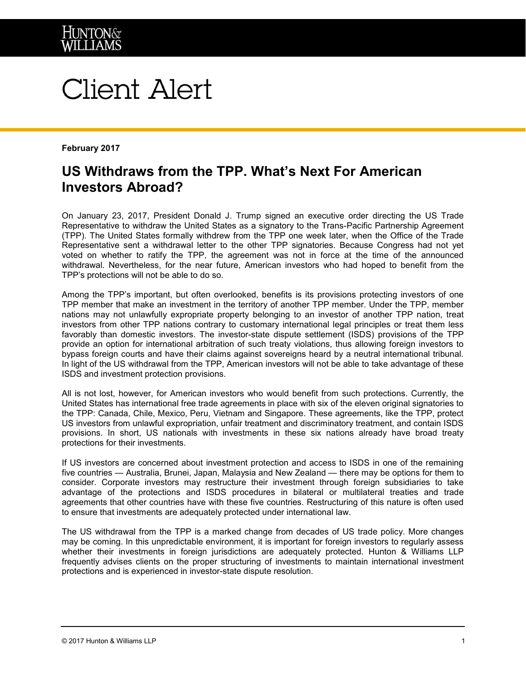

## Client Alert

**February 2017**

## **US Withdraws from the TPP. What's Next For American Investors Abroad?**

On January 23, 2017, President Donald J. Trump signed an executive order directing the US Trade Representative to withdraw the United States as a signatory to the Trans-Pacific Partnership Agreement (TPP). The United States formally withdrew from the TPP one week later, when the Office of the Trade Representative sent a withdrawal letter to the other TPP signatories. Because Congress had not yet voted on whether to ratify the TPP, the agreement was not in force at the time of the announced withdrawal. Nevertheless, for the near future, American investors who had hoped to benefit from the TPP's protections will not be able to do so.

Among the TPP's important, but often overlooked, benefits is its provisions protecting investors of one TPP member that make an investment in the territory of another TPP member. Under the TPP, member nations may not unlawfully expropriate property belonging to an investor of another TPP nation, treat investors from other TPP nations contrary to customary international legal principles or treat them less favorably than domestic investors. The investor-state dispute settlement (ISDS) provisions of the TPP provide an option for international arbitration of such treaty violations, thus allowing foreign investors to bypass foreign courts and have their claims against sovereigns heard by a neutral international tribunal. In light of the US withdrawal from the TPP, American investors will not be able to take advantage of these ISDS and investment protection provisions.

All is not lost, however, for American investors who would benefit from such protections. Currently, the United States has international free trade agreements in place with six of the eleven original signatories to the TPP: Canada, Chile, Mexico, Peru, Vietnam and Singapore. These agreements, like the TPP, protect US investors from unlawful expropriation, unfair treatment and discriminatory treatment, and contain ISDS provisions. In short, US nationals with investments in these six nations already have broad treaty protections for their investments.

If US investors are concerned about investment protection and access to ISDS in one of the remaining five countries — Australia, Brunei, Japan, Malaysia and New Zealand — there may be options for them to consider. Corporate investors may restructure their investment through foreign subsidiaries to take advantage of the protections and ISDS procedures in bilateral or multilateral treaties and trade agreements that other countries have with these five countries. Restructuring of this nature is often used to ensure that investments are adequately protected under international law.

The US withdrawal from the TPP is a marked change from decades of US trade policy. More changes may be coming. In this unpredictable environment, it is important for foreign investors to regularly assess whether their investments in foreign jurisdictions are adequately protected. Hunton & Williams LLP frequently advises clients on the proper structuring of investments to maintain international investment protections and is experienced in investor-state dispute resolution.